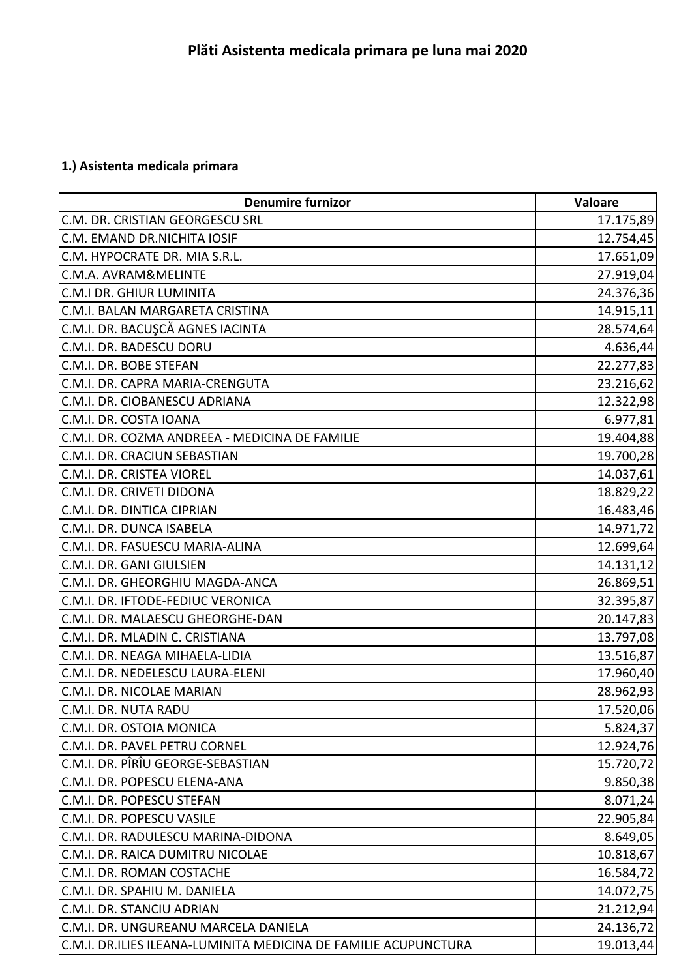## **1.) Asistenta medicala primara**

| <b>Denumire furnizor</b>                                        | Valoare   |
|-----------------------------------------------------------------|-----------|
| C.M. DR. CRISTIAN GEORGESCU SRL                                 | 17.175,89 |
| C.M. EMAND DR.NICHITA IOSIF                                     | 12.754,45 |
| C.M. HYPOCRATE DR. MIA S.R.L.                                   | 17.651,09 |
| C.M.A. AVRAM&MELINTE                                            | 27.919,04 |
| C.M.I DR. GHIUR LUMINITA                                        | 24.376,36 |
| C.M.I. BALAN MARGARETA CRISTINA                                 | 14.915,11 |
| C.M.I. DR. BACUŞCĂ AGNES IACINTA                                | 28.574,64 |
| C.M.I. DR. BADESCU DORU                                         | 4.636,44  |
| C.M.I. DR. BOBE STEFAN                                          | 22.277,83 |
| C.M.I. DR. CAPRA MARIA-CRENGUTA                                 | 23.216,62 |
| C.M.I. DR. CIOBANESCU ADRIANA                                   | 12.322,98 |
| C.M.I. DR. COSTA IOANA                                          | 6.977,81  |
| C.M.I. DR. COZMA ANDREEA - MEDICINA DE FAMILIE                  | 19.404,88 |
| C.M.I. DR. CRACIUN SEBASTIAN                                    | 19.700,28 |
| C.M.I. DR. CRISTEA VIOREL                                       | 14.037,61 |
| C.M.I. DR. CRIVETI DIDONA                                       | 18.829,22 |
| C.M.I. DR. DINTICA CIPRIAN                                      | 16.483,46 |
| C.M.I. DR. DUNCA ISABELA                                        | 14.971,72 |
| C.M.I. DR. FASUESCU MARIA-ALINA                                 | 12.699,64 |
| C.M.I. DR. GANI GIULSIEN                                        | 14.131,12 |
| C.M.I. DR. GHEORGHIU MAGDA-ANCA                                 | 26.869,51 |
| C.M.I. DR. IFTODE-FEDIUC VERONICA                               | 32.395,87 |
| C.M.I. DR. MALAESCU GHEORGHE-DAN                                | 20.147,83 |
| C.M.I. DR. MLADIN C. CRISTIANA                                  | 13.797,08 |
| C.M.I. DR. NEAGA MIHAELA-LIDIA                                  | 13.516,87 |
| C.M.I. DR. NEDELESCU LAURA-ELENI                                | 17.960,40 |
| C.M.I. DR. NICOLAE MARIAN                                       | 28.962,93 |
| C.M.I. DR. NUTA RADU                                            | 17.520,06 |
| C.M.I. DR. OSTOIA MONICA                                        | 5.824,37  |
| C.M.I. DR. PAVEL PETRU CORNEL                                   | 12.924,76 |
| C.M.I. DR. PÎRÎU GEORGE-SEBASTIAN                               | 15.720,72 |
| C.M.I. DR. POPESCU ELENA-ANA                                    | 9.850,38  |
| C.M.I. DR. POPESCU STEFAN                                       | 8.071,24  |
| C.M.I. DR. POPESCU VASILE                                       | 22.905,84 |
| C.M.I. DR. RADULESCU MARINA-DIDONA                              | 8.649,05  |
| C.M.I. DR. RAICA DUMITRU NICOLAE                                | 10.818,67 |
| C.M.I. DR. ROMAN COSTACHE                                       | 16.584,72 |
| C.M.I. DR. SPAHIU M. DANIELA                                    | 14.072,75 |
| C.M.I. DR. STANCIU ADRIAN                                       | 21.212,94 |
| C.M.I. DR. UNGUREANU MARCELA DANIELA                            | 24.136,72 |
| C.M.I. DR.ILIES ILEANA-LUMINITA MEDICINA DE FAMILIE ACUPUNCTURA | 19.013,44 |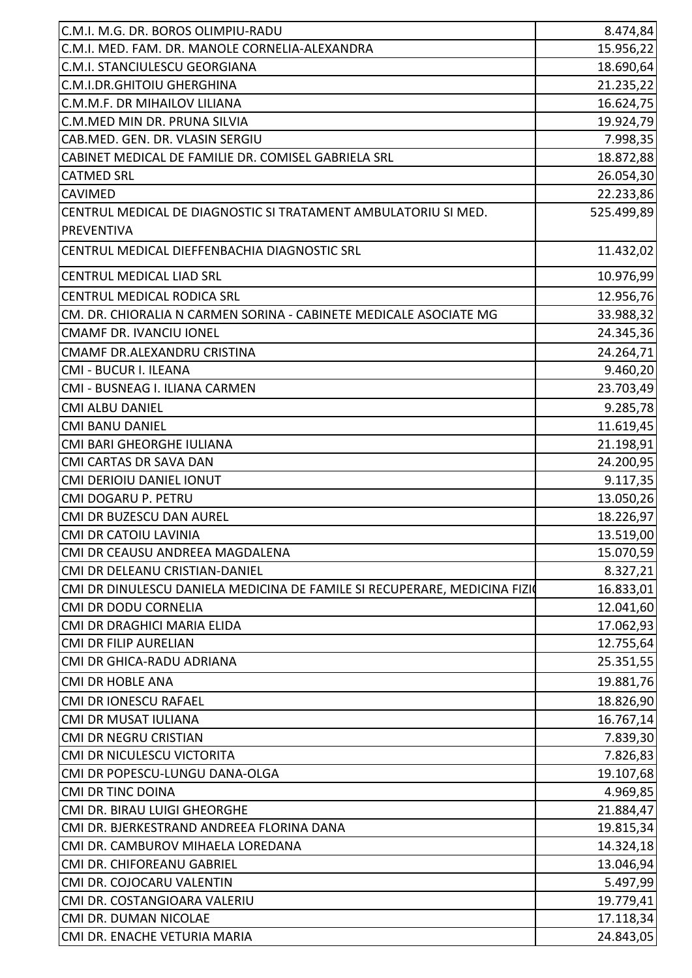| C.M.I. M.G. DR. BOROS OLIMPIU-RADU                                        | 8.474,84   |
|---------------------------------------------------------------------------|------------|
| C.M.I. MED. FAM. DR. MANOLE CORNELIA-ALEXANDRA                            | 15.956,22  |
| C.M.I. STANCIULESCU GEORGIANA                                             | 18.690,64  |
| C.M.I.DR.GHITOIU GHERGHINA                                                | 21.235,22  |
| C.M.M.F. DR MIHAILOV LILIANA                                              | 16.624,75  |
| C.M.MED MIN DR. PRUNA SILVIA                                              | 19.924,79  |
| CAB.MED. GEN. DR. VLASIN SERGIU                                           | 7.998,35   |
| CABINET MEDICAL DE FAMILIE DR. COMISEL GABRIELA SRL                       | 18.872,88  |
| <b>CATMED SRL</b>                                                         | 26.054,30  |
| <b>CAVIMED</b>                                                            | 22.233,86  |
| CENTRUL MEDICAL DE DIAGNOSTIC SI TRATAMENT AMBULATORIU SI MED.            | 525.499,89 |
| <b>PREVENTIVA</b>                                                         |            |
| CENTRUL MEDICAL DIEFFENBACHIA DIAGNOSTIC SRL                              | 11.432,02  |
| <b>CENTRUL MEDICAL LIAD SRL</b>                                           | 10.976,99  |
| CENTRUL MEDICAL RODICA SRL                                                | 12.956,76  |
| CM. DR. CHIORALIA N CARMEN SORINA - CABINETE MEDICALE ASOCIATE MG         | 33.988,32  |
| <b>CMAMF DR. IVANCIU IONEL</b>                                            | 24.345,36  |
| CMAMF DR.ALEXANDRU CRISTINA                                               | 24.264,71  |
| CMI - BUCUR I. ILEANA                                                     | 9.460,20   |
| CMI - BUSNEAG I. ILIANA CARMEN                                            | 23.703,49  |
| <b>CMI ALBU DANIEL</b>                                                    | 9.285,78   |
| <b>CMI BANU DANIEL</b>                                                    | 11.619,45  |
| CMI BARI GHEORGHE IULIANA                                                 | 21.198,91  |
| CMI CARTAS DR SAVA DAN                                                    | 24.200,95  |
| <b>CMI DERIOIU DANIEL IONUT</b>                                           | 9.117,35   |
| CMI DOGARU P. PETRU                                                       | 13.050,26  |
| CMI DR BUZESCU DAN AUREL                                                  | 18.226,97  |
| <b>CMI DR CATOIU LAVINIA</b>                                              | 13.519,00  |
| CMI DR CEAUSU ANDREEA MAGDALENA                                           | 15.070,59  |
| CMI DR DELEANU CRISTIAN-DANIEL                                            | 8.327,21   |
| CMI DR DINULESCU DANIELA MEDICINA DE FAMILE SI RECUPERARE, MEDICINA FIZIO | 16.833,01  |
| <b>CMI DR DODU CORNELIA</b>                                               | 12.041,60  |
| CMI DR DRAGHICI MARIA ELIDA                                               | 17.062,93  |
| <b>CMI DR FILIP AURELIAN</b>                                              | 12.755,64  |
| CMI DR GHICA-RADU ADRIANA                                                 | 25.351,55  |
| <b>CMI DR HOBLE ANA</b>                                                   | 19.881,76  |
| <b>CMI DR IONESCU RAFAEL</b>                                              | 18.826,90  |
| <b>CMI DR MUSAT IULIANA</b>                                               | 16.767,14  |
| <b>CMI DR NEGRU CRISTIAN</b>                                              | 7.839,30   |
| CMI DR NICULESCU VICTORITA                                                | 7.826,83   |
| CMI DR POPESCU-LUNGU DANA-OLGA                                            | 19.107,68  |
| <b>CMI DR TINC DOINA</b>                                                  | 4.969,85   |
| CMI DR. BIRAU LUIGI GHEORGHE                                              | 21.884,47  |
| CMI DR. BJERKESTRAND ANDREEA FLORINA DANA                                 | 19.815,34  |
| CMI DR. CAMBUROV MIHAELA LOREDANA                                         | 14.324,18  |
| CMI DR. CHIFOREANU GABRIEL                                                | 13.046,94  |
| CMI DR. COJOCARU VALENTIN                                                 | 5.497,99   |
| CMI DR. COSTANGIOARA VALERIU                                              | 19.779,41  |
| CMI DR. DUMAN NICOLAE                                                     | 17.118,34  |
|                                                                           |            |
| CMI DR. ENACHE VETURIA MARIA                                              | 24.843,05  |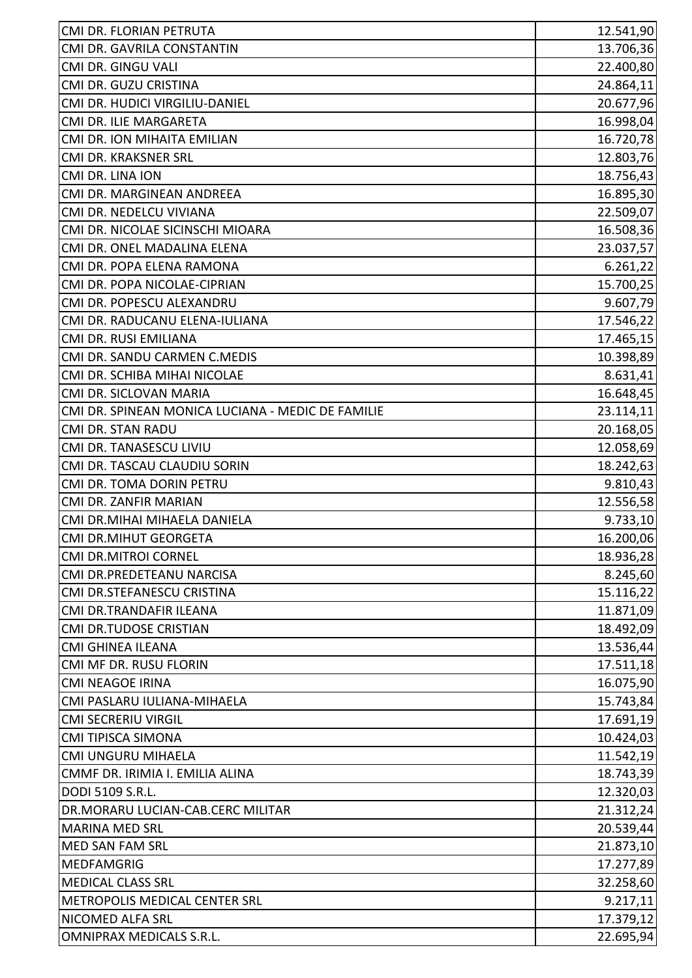| CMI DR. FLORIAN PETRUTA                           | 12.541,90 |
|---------------------------------------------------|-----------|
| CMI DR. GAVRILA CONSTANTIN                        | 13.706,36 |
| CMI DR. GINGU VALI                                | 22.400,80 |
| CMI DR. GUZU CRISTINA                             | 24.864,11 |
| CMI DR. HUDICI VIRGILIU-DANIEL                    | 20.677,96 |
| CMI DR. ILIE MARGARETA                            | 16.998,04 |
| CMI DR. ION MIHAITA EMILIAN                       | 16.720,78 |
| CMI DR. KRAKSNER SRL                              | 12.803,76 |
| CMI DR. LINA ION                                  | 18.756,43 |
| CMI DR. MARGINEAN ANDREEA                         | 16.895,30 |
| CMI DR. NEDELCU VIVIANA                           | 22.509,07 |
| CMI DR. NICOLAE SICINSCHI MIOARA                  | 16.508,36 |
| CMI DR. ONEL MADALINA ELENA                       | 23.037,57 |
| CMI DR. POPA ELENA RAMONA                         | 6.261,22  |
| CMI DR. POPA NICOLAE-CIPRIAN                      | 15.700,25 |
| CMI DR. POPESCU ALEXANDRU                         | 9.607,79  |
| CMI DR. RADUCANU ELENA-IULIANA                    | 17.546,22 |
| CMI DR. RUSI EMILIANA                             | 17.465,15 |
| CMI DR. SANDU CARMEN C.MEDIS                      | 10.398,89 |
| CMI DR. SCHIBA MIHAI NICOLAE                      | 8.631,41  |
| CMI DR. SICLOVAN MARIA                            | 16.648,45 |
| CMI DR. SPINEAN MONICA LUCIANA - MEDIC DE FAMILIE | 23.114,11 |
| CMI DR. STAN RADU                                 | 20.168,05 |
| CMI DR. TANASESCU LIVIU                           | 12.058,69 |
| CMI DR. TASCAU CLAUDIU SORIN                      | 18.242,63 |
| CMI DR. TOMA DORIN PETRU                          | 9.810,43  |
| CMI DR. ZANFIR MARIAN                             | 12.556,58 |
| CMI DR.MIHAI MIHAELA DANIELA                      | 9.733,10  |
| <b>CMI DR.MIHUT GEORGETA</b>                      | 16.200,06 |
| <b>CMI DR.MITROI CORNEL</b>                       | 18.936,28 |
| CMI DR.PREDETEANU NARCISA                         | 8.245,60  |
| CMI DR.STEFANESCU CRISTINA                        | 15.116,22 |
| CMI DR.TRANDAFIR ILEANA                           | 11.871,09 |
| <b>CMI DR.TUDOSE CRISTIAN</b>                     | 18.492,09 |
| <b>CMI GHINEA ILEANA</b>                          | 13.536,44 |
| CMI MF DR. RUSU FLORIN                            | 17.511,18 |
| <b>CMI NEAGOE IRINA</b>                           | 16.075,90 |
| CMI PASLARU IULIANA-MIHAELA                       | 15.743,84 |
| <b>CMI SECRERIU VIRGIL</b>                        | 17.691,19 |
| <b>CMI TIPISCA SIMONA</b>                         | 10.424,03 |
| CMI UNGURU MIHAELA                                | 11.542,19 |
| CMMF DR. IRIMIA I. EMILIA ALINA                   | 18.743,39 |
| DODI 5109 S.R.L.                                  | 12.320,03 |
| DR.MORARU LUCIAN-CAB.CERC MILITAR                 | 21.312,24 |
| <b>MARINA MED SRL</b>                             | 20.539,44 |
| <b>MED SAN FAM SRL</b>                            | 21.873,10 |
| <b>MEDFAMGRIG</b>                                 | 17.277,89 |
| <b>MEDICAL CLASS SRL</b>                          | 32.258,60 |
| METROPOLIS MEDICAL CENTER SRL                     | 9.217,11  |
| NICOMED ALFA SRL                                  | 17.379,12 |
| OMNIPRAX MEDICALS S.R.L.                          | 22.695,94 |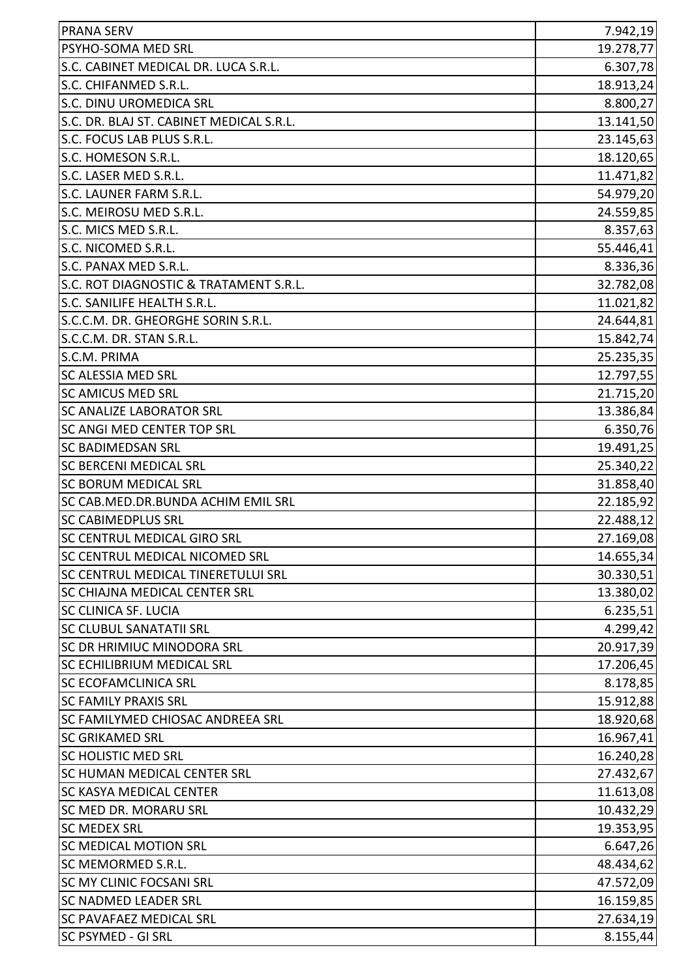| <b>PRANA SERV</b>                        | 7.942,19  |
|------------------------------------------|-----------|
| PSYHO-SOMA MED SRL                       | 19.278,77 |
| S.C. CABINET MEDICAL DR. LUCA S.R.L.     | 6.307,78  |
| S.C. CHIFANMED S.R.L.                    | 18.913,24 |
| S.C. DINU UROMEDICA SRL                  | 8.800,27  |
| S.C. DR. BLAJ ST. CABINET MEDICAL S.R.L. | 13.141,50 |
| S.C. FOCUS LAB PLUS S.R.L.               | 23.145,63 |
| S.C. HOMESON S.R.L.                      | 18.120,65 |
| S.C. LASER MED S.R.L.                    | 11.471,82 |
| S.C. LAUNER FARM S.R.L.                  | 54.979,20 |
| S.C. MEIROSU MED S.R.L.                  | 24.559,85 |
| S.C. MICS MED S.R.L.                     | 8.357,63  |
| S.C. NICOMED S.R.L.                      | 55.446,41 |
| S.C. PANAX MED S.R.L.                    | 8.336,36  |
| S.C. ROT DIAGNOSTIC & TRATAMENT S.R.L.   | 32.782,08 |
| S.C. SANILIFE HEALTH S.R.L.              | 11.021,82 |
| S.C.C.M. DR. GHEORGHE SORIN S.R.L.       | 24.644,81 |
| S.C.C.M. DR. STAN S.R.L.                 | 15.842,74 |
| S.C.M. PRIMA                             | 25.235,35 |
| <b>SC ALESSIA MED SRL</b>                | 12.797,55 |
| <b>SC AMICUS MED SRL</b>                 | 21.715,20 |
| <b>SC ANALIZE LABORATOR SRL</b>          | 13.386,84 |
| <b>SC ANGI MED CENTER TOP SRL</b>        | 6.350,76  |
| <b>SC BADIMEDSAN SRL</b>                 | 19.491,25 |
| <b>SC BERCENI MEDICAL SRL</b>            | 25.340,22 |
| <b>SC BORUM MEDICAL SRL</b>              | 31.858,40 |
| SC CAB.MED.DR.BUNDA ACHIM EMIL SRL       | 22.185,92 |
| <b>SC CABIMEDPLUS SRL</b>                | 22.488,12 |
| <b>SC CENTRUL MEDICAL GIRO SRL</b>       | 27.169,08 |
| SC CENTRUL MEDICAL NICOMED SRL           | 14.655,34 |
| SC CENTRUL MEDICAL TINERETULUI SRL       | 30.330,51 |
| SC CHIAJNA MEDICAL CENTER SRL            | 13.380,02 |
| <b>SC CLINICA SF. LUCIA</b>              | 6.235,51  |
| <b>SC CLUBUL SANATATII SRL</b>           | 4.299,42  |
| SC DR HRIMIUC MINODORA SRL               | 20.917,39 |
| <b>SC ECHILIBRIUM MEDICAL SRL</b>        | 17.206,45 |
| <b>SC ECOFAMCLINICA SRL</b>              | 8.178,85  |
| <b>SC FAMILY PRAXIS SRL</b>              | 15.912,88 |
| <b>SC FAMILYMED CHIOSAC ANDREEA SRL</b>  | 18.920,68 |
| <b>SC GRIKAMED SRL</b>                   | 16.967,41 |
| <b>SC HOLISTIC MED SRL</b>               | 16.240,28 |
| <b>SC HUMAN MEDICAL CENTER SRL</b>       | 27.432,67 |
| <b>SC KASYA MEDICAL CENTER</b>           | 11.613,08 |
| <b>SC MED DR. MORARU SRL</b>             | 10.432,29 |
| <b>SC MEDEX SRL</b>                      | 19.353,95 |
| <b>SC MEDICAL MOTION SRL</b>             | 6.647,26  |
| SC MEMORMED S.R.L.                       | 48.434,62 |
| <b>SC MY CLINIC FOCSANI SRL</b>          | 47.572,09 |
| <b>SC NADMED LEADER SRL</b>              | 16.159,85 |
| <b>SC PAVAFAEZ MEDICAL SRL</b>           | 27.634,19 |
| <b>SC PSYMED - GI SRL</b>                | 8.155,44  |